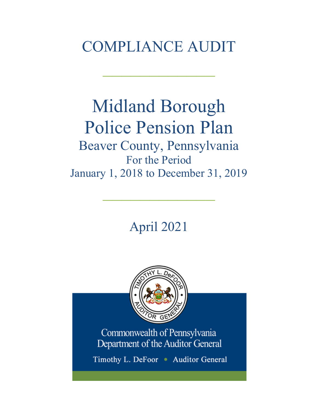# COMPLIANCE AUDIT

 $\frac{1}{2}$ 

# Midland Borough Police Pension Plan Beaver County, Pennsylvania For the Period

January 1, 2018 to December 31, 2019

 $\frac{1}{2}$ 

April 2021



Commonwealth of Pennsylvania Department of the Auditor General

Timothy L. DeFoor • Auditor General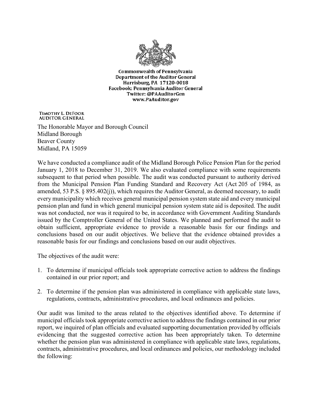

**Commonwealth of Pennsylvania** Department of the Auditor General Harrisburg, PA 17120-0018 Facebook: Pennsylvania Auditor General Twitter: @PAAuditorGen www.PaAuditor.gov

TIMOTHY L. DEFOOR **AUDITOR GENERAL** 

The Honorable Mayor and Borough Council Midland Borough Beaver County Midland, PA 15059

We have conducted a compliance audit of the Midland Borough Police Pension Plan for the period January 1, 2018 to December 31, 2019. We also evaluated compliance with some requirements subsequent to that period when possible. The audit was conducted pursuant to authority derived from the Municipal Pension Plan Funding Standard and Recovery Act (Act 205 of 1984, as amended, 53 P.S. § 895.402(j)), which requires the Auditor General, as deemed necessary, to audit every municipality which receives general municipal pension system state aid and every municipal pension plan and fund in which general municipal pension system state aid is deposited. The audit was not conducted, nor was it required to be, in accordance with Government Auditing Standards issued by the Comptroller General of the United States. We planned and performed the audit to obtain sufficient, appropriate evidence to provide a reasonable basis for our findings and conclusions based on our audit objectives. We believe that the evidence obtained provides a reasonable basis for our findings and conclusions based on our audit objectives.

The objectives of the audit were:

- 1. To determine if municipal officials took appropriate corrective action to address the findings contained in our prior report; and
- 2. To determine if the pension plan was administered in compliance with applicable state laws, regulations, contracts, administrative procedures, and local ordinances and policies.

Our audit was limited to the areas related to the objectives identified above. To determine if municipal officials took appropriate corrective action to address the findings contained in our prior report, we inquired of plan officials and evaluated supporting documentation provided by officials evidencing that the suggested corrective action has been appropriately taken. To determine whether the pension plan was administered in compliance with applicable state laws, regulations, contracts, administrative procedures, and local ordinances and policies, our methodology included the following: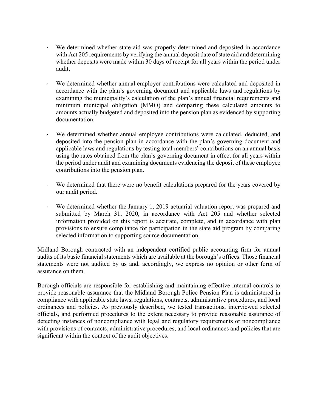- ⋅ We determined whether state aid was properly determined and deposited in accordance with Act 205 requirements by verifying the annual deposit date of state aid and determining whether deposits were made within 30 days of receipt for all years within the period under audit.
- We determined whether annual employer contributions were calculated and deposited in accordance with the plan's governing document and applicable laws and regulations by examining the municipality's calculation of the plan's annual financial requirements and minimum municipal obligation (MMO) and comparing these calculated amounts to amounts actually budgeted and deposited into the pension plan as evidenced by supporting documentation.
- We determined whether annual employee contributions were calculated, deducted, and deposited into the pension plan in accordance with the plan's governing document and applicable laws and regulations by testing total members' contributions on an annual basis using the rates obtained from the plan's governing document in effect for all years within the period under audit and examining documents evidencing the deposit of these employee contributions into the pension plan.
- ⋅ We determined that there were no benefit calculations prepared for the years covered by our audit period.
- ⋅ We determined whether the January 1, 2019 actuarial valuation report was prepared and submitted by March 31, 2020, in accordance with Act 205 and whether selected information provided on this report is accurate, complete, and in accordance with plan provisions to ensure compliance for participation in the state aid program by comparing selected information to supporting source documentation.

Midland Borough contracted with an independent certified public accounting firm for annual audits of its basic financial statements which are available at the borough's offices. Those financial statements were not audited by us and, accordingly, we express no opinion or other form of assurance on them.

Borough officials are responsible for establishing and maintaining effective internal controls to provide reasonable assurance that the Midland Borough Police Pension Plan is administered in compliance with applicable state laws, regulations, contracts, administrative procedures, and local ordinances and policies. As previously described, we tested transactions, interviewed selected officials, and performed procedures to the extent necessary to provide reasonable assurance of detecting instances of noncompliance with legal and regulatory requirements or noncompliance with provisions of contracts, administrative procedures, and local ordinances and policies that are significant within the context of the audit objectives.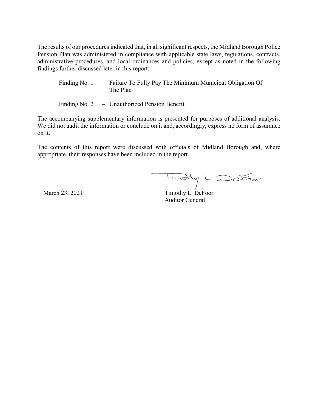The results of our procedures indicated that, in all significant respects, the Midland Borough Police Pension Plan was administered in compliance with applicable state laws, regulations, contracts, administrative procedures, and local ordinances and policies, except as noted in the following findings further discussed later in this report:

Finding No. 1 – Failure To Fully Pay The Minimum Municipal Obligation Of The Plan

Finding No. 2 – Unauthorized Pension Benefit

The accompanying supplementary information is presented for purposes of additional analysis. We did not audit the information or conclude on it and, accordingly, express no form of assurance on it.

The contents of this report were discussed with officials of Midland Borough and, where appropriate, their responses have been included in the report.

March 23, 2021 Timothy L. DeFoor

Auditor General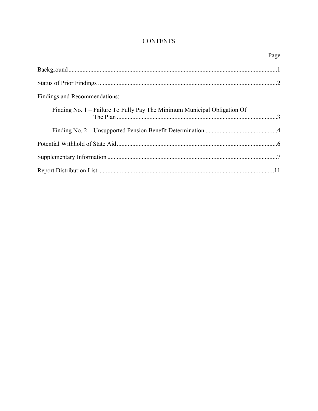# **CONTENTS**

|                                                                          | Page |
|--------------------------------------------------------------------------|------|
|                                                                          |      |
|                                                                          |      |
| Findings and Recommendations:                                            |      |
| Finding No. 1 – Failure To Fully Pay The Minimum Municipal Obligation Of |      |
|                                                                          |      |
|                                                                          |      |
|                                                                          |      |
|                                                                          |      |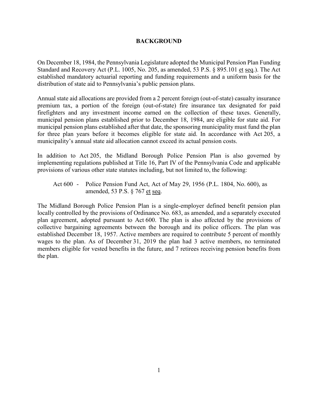#### **BACKGROUND**

On December 18, 1984, the Pennsylvania Legislature adopted the Municipal Pension Plan Funding Standard and Recovery Act (P.L. 1005, No. 205, as amended, 53 P.S. § 895.101 et seq.). The Act established mandatory actuarial reporting and funding requirements and a uniform basis for the distribution of state aid to Pennsylvania's public pension plans.

Annual state aid allocations are provided from a 2 percent foreign (out-of-state) casualty insurance premium tax, a portion of the foreign (out-of-state) fire insurance tax designated for paid firefighters and any investment income earned on the collection of these taxes. Generally, municipal pension plans established prior to December 18, 1984, are eligible for state aid. For municipal pension plans established after that date, the sponsoring municipality must fund the plan for three plan years before it becomes eligible for state aid. In accordance with Act 205, a municipality's annual state aid allocation cannot exceed its actual pension costs.

In addition to Act 205, the Midland Borough Police Pension Plan is also governed by implementing regulations published at Title 16, Part IV of the Pennsylvania Code and applicable provisions of various other state statutes including, but not limited to, the following:

Act 600 - Police Pension Fund Act, Act of May 29, 1956 (P.L. 1804, No. 600), as amended, 53 P.S. § 767 et seq.

The Midland Borough Police Pension Plan is a single-employer defined benefit pension plan locally controlled by the provisions of Ordinance No. 683, as amended, and a separately executed plan agreement, adopted pursuant to Act 600. The plan is also affected by the provisions of collective bargaining agreements between the borough and its police officers. The plan was established December 18, 1957. Active members are required to contribute 5 percent of monthly wages to the plan. As of December 31, 2019 the plan had 3 active members, no terminated members eligible for vested benefits in the future, and 7 retirees receiving pension benefits from the plan.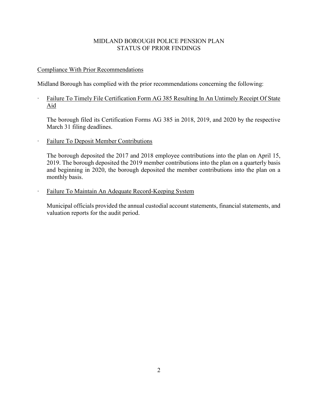# MIDLAND BOROUGH POLICE PENSION PLAN STATUS OF PRIOR FINDINGS

# Compliance With Prior Recommendations

Midland Borough has complied with the prior recommendations concerning the following:

∙ Failure To Timely File Certification Form AG 385 Resulting In An Untimely Receipt Of State Aid

The borough filed its Certification Forms AG 385 in 2018, 2019, and 2020 by the respective March 31 filing deadlines.

∙ Failure To Deposit Member Contributions

The borough deposited the 2017 and 2018 employee contributions into the plan on April 15, 2019. The borough deposited the 2019 member contributions into the plan on a quarterly basis and beginning in 2020, the borough deposited the member contributions into the plan on a monthly basis.

∙ Failure To Maintain An Adequate Record-Keeping System

Municipal officials provided the annual custodial account statements, financial statements, and valuation reports for the audit period.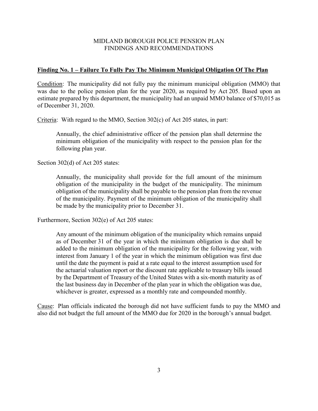### MIDLAND BOROUGH POLICE PENSION PLAN FINDINGS AND RECOMMENDATIONS

#### **Finding No. 1 – Failure To Fully Pay The Minimum Municipal Obligation Of The Plan**

Condition: The municipality did not fully pay the minimum municipal obligation (MMO) that was due to the police pension plan for the year 2020, as required by Act 205. Based upon an estimate prepared by this department, the municipality had an unpaid MMO balance of \$70,015 as of December 31, 2020.

Criteria: With regard to the MMO, Section 302(c) of Act 205 states, in part:

Annually, the chief administrative officer of the pension plan shall determine the minimum obligation of the municipality with respect to the pension plan for the following plan year.

Section 302(d) of Act 205 states:

Annually, the municipality shall provide for the full amount of the minimum obligation of the municipality in the budget of the municipality. The minimum obligation of the municipality shall be payable to the pension plan from the revenue of the municipality. Payment of the minimum obligation of the municipality shall be made by the municipality prior to December 31.

Furthermore, Section 302(e) of Act 205 states:

Any amount of the minimum obligation of the municipality which remains unpaid as of December 31 of the year in which the minimum obligation is due shall be added to the minimum obligation of the municipality for the following year, with interest from January 1 of the year in which the minimum obligation was first due until the date the payment is paid at a rate equal to the interest assumption used for the actuarial valuation report or the discount rate applicable to treasury bills issued by the Department of Treasury of the United States with a six-month maturity as of the last business day in December of the plan year in which the obligation was due, whichever is greater, expressed as a monthly rate and compounded monthly.

Cause: Plan officials indicated the borough did not have sufficient funds to pay the MMO and also did not budget the full amount of the MMO due for 2020 in the borough's annual budget.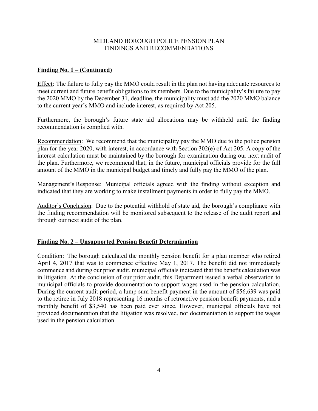## MIDLAND BOROUGH POLICE PENSION PLAN FINDINGS AND RECOMMENDATIONS

## **Finding No. 1 – (Continued)**

Effect: The failure to fully pay the MMO could result in the plan not having adequate resources to meet current and future benefit obligations to its members. Due to the municipality's failure to pay the 2020 MMO by the December 31, deadline, the municipality must add the 2020 MMO balance to the current year's MMO and include interest, as required by Act 205.

Furthermore, the borough's future state aid allocations may be withheld until the finding recommendation is complied with.

Recommendation: We recommend that the municipality pay the MMO due to the police pension plan for the year 2020, with interest, in accordance with Section 302(e) of Act 205. A copy of the interest calculation must be maintained by the borough for examination during our next audit of the plan. Furthermore, we recommend that, in the future, municipal officials provide for the full amount of the MMO in the municipal budget and timely and fully pay the MMO of the plan.

Management's Response: Municipal officials agreed with the finding without exception and indicated that they are working to make installment payments in order to fully pay the MMO.

Auditor's Conclusion: Due to the potential withhold of state aid, the borough's compliance with the finding recommendation will be monitored subsequent to the release of the audit report and through our next audit of the plan.

# **Finding No. 2 – Unsupported Pension Benefit Determination**

Condition: The borough calculated the monthly pension benefit for a plan member who retired April 4, 2017 that was to commence effective May 1, 2017. The benefit did not immediately commence and during our prior audit, municipal officials indicated that the benefit calculation was in litigation. At the conclusion of our prior audit, this Department issued a verbal observation to municipal officials to provide documentation to support wages used in the pension calculation. During the current audit period, a lump sum benefit payment in the amount of \$56,639 was paid to the retiree in July 2018 representing 16 months of retroactive pension benefit payments, and a monthly benefit of \$3,540 has been paid ever since. However, municipal officials have not provided documentation that the litigation was resolved, nor documentation to support the wages used in the pension calculation.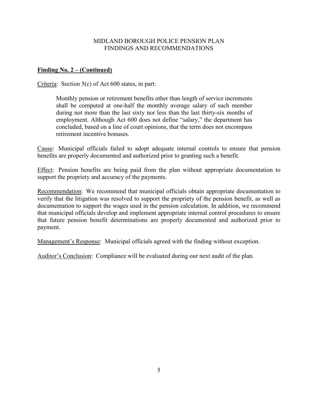# MIDLAND BOROUGH POLICE PENSION PLAN FINDINGS AND RECOMMENDATIONS

# **Finding No. 2 – (Continued)**

Criteria: Section 5(c) of Act 600 states, in part:

Monthly pension or retirement benefits other than length of service increments shall be computed at one-half the monthly average salary of such member during not more than the last sixty nor less than the last thirty-six months of employment. Although Act 600 does not define "salary," the department has concluded, based on a line of court opinions, that the term does not encompass retirement incentive bonuses.

Cause: Municipal officials failed to adopt adequate internal controls to ensure that pension benefits are properly documented and authorized prior to granting such a benefit.

Effect: Pension benefits are being paid from the plan without appropriate documentation to support the propriety and accuracy of the payments.

Recommendation: We recommend that municipal officials obtain appropriate documentation to verify that the litigation was resolved to support the propriety of the pension benefit, as well as documentation to support the wages used in the pension calculation. In addition, we recommend that municipal officials develop and implement appropriate internal control procedures to ensure that future pension benefit determinations are properly documented and authorized prior to payment.

Management's Response: Municipal officials agreed with the finding without exception.

Auditor's Conclusion: Compliance will be evaluated during our next audit of the plan.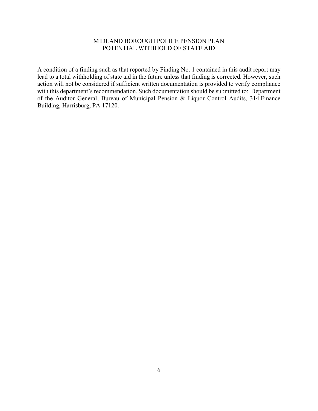# MIDLAND BOROUGH POLICE PENSION PLAN POTENTIAL WITHHOLD OF STATE AID

A condition of a finding such as that reported by Finding No. 1 contained in this audit report may lead to a total withholding of state aid in the future unless that finding is corrected. However, such action will not be considered if sufficient written documentation is provided to verify compliance with this department's recommendation. Such documentation should be submitted to: Department of the Auditor General, Bureau of Municipal Pension & Liquor Control Audits, 314 Finance Building, Harrisburg, PA 17120.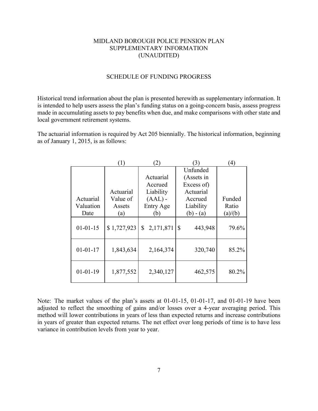## MIDLAND BOROUGH POLICE PENSION PLAN SUPPLEMENTARY INFORMATION (UNAUDITED)

#### SCHEDULE OF FUNDING PROGRESS

Historical trend information about the plan is presented herewith as supplementary information. It is intended to help users assess the plan's funding status on a going-concern basis, assess progress made in accumulating assets to pay benefits when due, and make comparisons with other state and local government retirement systems.

The actuarial information is required by Act 205 biennially. The historical information, beginning as of January 1, 2015, is as follows:

|                | $\left(1\right)$ | $\left( 2\right)$ | (3)           | $\left(4\right)$ |
|----------------|------------------|-------------------|---------------|------------------|
|                |                  |                   | Unfunded      |                  |
|                |                  | Actuarial         | (Assets in    |                  |
|                |                  | Accrued           | Excess of)    |                  |
|                | Actuarial        | Liability         | Actuarial     |                  |
| Actuarial      | Value of         | $(AAL)$ -         | Accrued       | Funded           |
| Valuation      | Assets           | Entry Age         | Liability     | Ratio            |
| Date           | (a)              | (b)               | $(b) - (a)$   | (a)/(b)          |
| $01 - 01 - 15$ | \$1,727,923      | \$<br>2,171,871   | \$<br>443,948 | 79.6%            |
| $01 - 01 - 17$ | 1,843,634        | 2,164,374         | 320,740       | 85.2%            |
| $01 - 01 - 19$ | 1,877,552        | 2,340,127         | 462,575       | 80.2%            |

Note: The market values of the plan's assets at 01-01-15, 01-01-17, and 01-01-19 have been adjusted to reflect the smoothing of gains and/or losses over a 4-year averaging period. This method will lower contributions in years of less than expected returns and increase contributions in years of greater than expected returns. The net effect over long periods of time is to have less variance in contribution levels from year to year.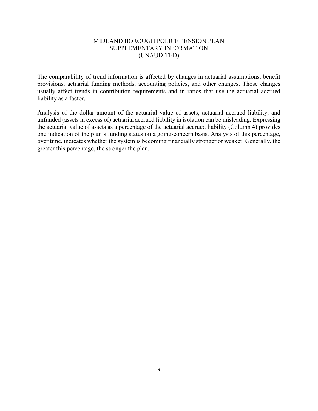## MIDLAND BOROUGH POLICE PENSION PLAN SUPPLEMENTARY INFORMATION (UNAUDITED)

The comparability of trend information is affected by changes in actuarial assumptions, benefit provisions, actuarial funding methods, accounting policies, and other changes. Those changes usually affect trends in contribution requirements and in ratios that use the actuarial accrued liability as a factor.

Analysis of the dollar amount of the actuarial value of assets, actuarial accrued liability, and unfunded (assets in excess of) actuarial accrued liability in isolation can be misleading. Expressing the actuarial value of assets as a percentage of the actuarial accrued liability (Column 4) provides one indication of the plan's funding status on a going-concern basis. Analysis of this percentage, over time, indicates whether the system is becoming financially stronger or weaker. Generally, the greater this percentage, the stronger the plan.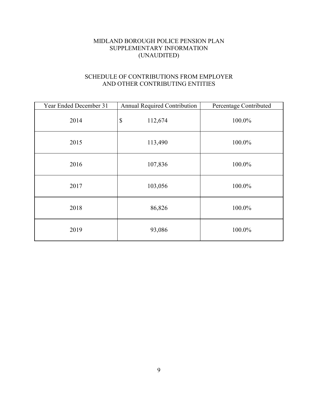# MIDLAND BOROUGH POLICE PENSION PLAN SUPPLEMENTARY INFORMATION (UNAUDITED)

# SCHEDULE OF CONTRIBUTIONS FROM EMPLOYER AND OTHER CONTRIBUTING ENTITIES

| Year Ended December 31 | <b>Annual Required Contribution</b>  | Percentage Contributed |
|------------------------|--------------------------------------|------------------------|
| 2014                   | $\boldsymbol{\mathsf{S}}$<br>112,674 | 100.0%                 |
| 2015                   | 113,490                              | 100.0%                 |
| 2016                   | 107,836                              | 100.0%                 |
| 2017                   | 103,056                              | 100.0%                 |
| 2018                   | 86,826                               | 100.0%                 |
| 2019                   | 93,086                               | 100.0%                 |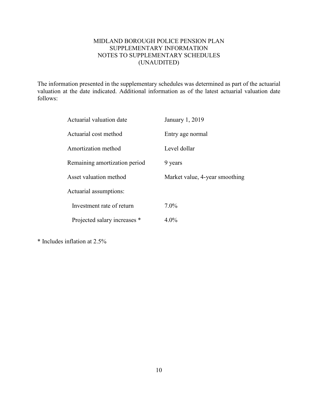# MIDLAND BOROUGH POLICE PENSION PLAN SUPPLEMENTARY INFORMATION NOTES TO SUPPLEMENTARY SCHEDULES (UNAUDITED)

The information presented in the supplementary schedules was determined as part of the actuarial valuation at the date indicated. Additional information as of the latest actuarial valuation date follows:

| Actuarial valuation date      | January 1, 2019                |
|-------------------------------|--------------------------------|
| Actuarial cost method         | Entry age normal               |
| Amortization method           | Level dollar                   |
| Remaining amortization period | 9 years                        |
| Asset valuation method        | Market value, 4-year smoothing |
| Actuarial assumptions:        |                                |
| Investment rate of return     | $7.0\%$                        |
| Projected salary increases *  | $4.0\%$                        |

\* Includes inflation at 2.5%